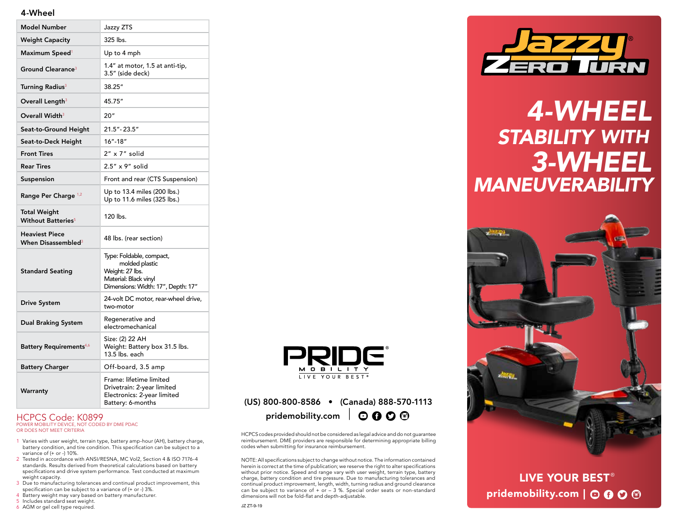### 4-Wheel

| <b>Model Number</b>                                  | Jazzy ZTS                                                                                                                    |
|------------------------------------------------------|------------------------------------------------------------------------------------------------------------------------------|
| <b>Weight Capacity</b>                               | 325 lbs.                                                                                                                     |
| Maximum Speed <sup>1</sup>                           | Up to 4 mph                                                                                                                  |
| Ground Clearance <sup>3</sup>                        | 1.4" at motor, 1.5 at anti-tip,<br>3.5" (side deck)                                                                          |
| Turning Radius <sup>3</sup>                          | 38.25"                                                                                                                       |
| Overall Length <sup>3</sup>                          | 45.75"                                                                                                                       |
| Overall Width <sup>3</sup>                           | 20"                                                                                                                          |
| Seat-to-Ground Height                                | $21.5" - 23.5"$                                                                                                              |
| Seat-to-Deck Height                                  | 16"-18"                                                                                                                      |
| <b>Front Tires</b>                                   | 2" x 7" solid                                                                                                                |
| <b>Rear Tires</b>                                    | 2.5" x 9" solid                                                                                                              |
| Suspension                                           | Front and rear (CTS Suspension)                                                                                              |
| Range Per Charge 1,2                                 | Up to 13.4 miles (200 lbs.)<br>Up to 11.6 miles (325 lbs.)                                                                   |
| Total Weight<br><b>Without Batteries<sup>5</sup></b> | 120 lbs.                                                                                                                     |
| <b>Heaviest Piece</b><br>When Disassembled $3$       | 48 lbs. (rear section)                                                                                                       |
| <b>Standard Seating</b>                              | Type: Foldable, compact,<br>molded plastic<br>Weight: 27 lbs.<br>Material: Black vinyl<br>Dimensions: Width: 17", Depth: 17" |
| <b>Drive System</b>                                  | 24-volt DC motor, rear-wheel drive,<br>two-motor                                                                             |
| <b>Dual Braking System</b>                           | Regenerative and<br>electromechanical                                                                                        |
| Battery Requirements <sup>4,6</sup>                  | Size: (2) 22 AH<br>Weight: Battery box 31.5 lbs.<br>13.5 lbs. each                                                           |
| <b>Battery Charger</b>                               | Off-board, 3.5 amp                                                                                                           |
| Warranty                                             | Frame: lifetime limited<br>Drivetrain: 2-year limited<br>Electronics: 2-year limited<br>Battery: 6-months                    |

#### HCPCS Code: K0899 POWER MOBILITY DEVICE, NOT CODED BY DME PDAC OR DOES NOT MEET CRITERIA

- 1 Varies with user weight, terrain type, battery amp-hour (AH), battery charge, battery condition, and tire condition. This specification can be subject to a variance of (+ or -) 10%.
- 2 Tested in accordance with ANSI/RESNA, MC Vol2, Section 4 & ISO 7176-4 standards. Results derived from theoretical calculations based on battery specifications and drive system performance. Test conducted at maximum weight capacity.
- 3 Due to manufacturing tolerances and continual product improvement, this specification can be subject to a variance of (+ or -) 3%.
- 4 Battery weight may vary based on battery manufacturer.
- 5 Includes standard seat weight.
- 6 AGM or gel cell type required.



### Battery: 6-months (US) 800-800-8586 • (Canada) 888-570-1113 pridemobility.com  $\big| \bigcirc \mathbf{0} \mathbf{0} \bigcirc$

HCPCS codes provided should not be considered as legal advice and do not guarantee reimbursement. DME providers are responsible for determining appropriate billing codes when submitting for insurance reimbursement.

NOTE: All specifications subject to change without notice. The information contained herein is correct at the time of publication; we reserve the right to alter specifications without prior notice. Speed and range vary with user weight, terrain type, battery charge, battery condition and tire pressure. Due to manufacturing tolerances and continual product improvement, length, width, turning radius and ground clearance can be subject to variance of  $+$  or  $-$  3 %. Special order seats or non-standard dimensions will not be fold-flat and depth-adjustable.



## *4-WHEEL STABILITY WITH 3-WHEEL MANEUVERABILITY*



LIVE YOUR BEST ® pridemobility.com  $\vert \odot \mathbf{0} \odot \mathbf{\odot}$